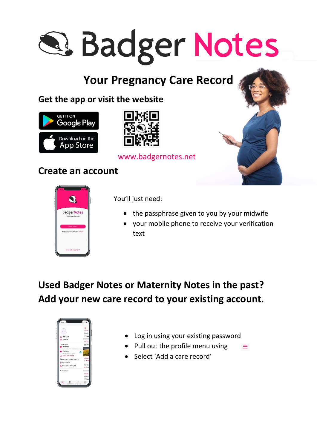# **Q. Badger Notes**

## **Your Pregnancy Care Record**

## **Get the app or visit the website**





#### www.badgernotes.net

## **Create an account**



You'll just need:

- the passphrase given to you by your midwife
- your mobile phone to receive your verification text

## **Used Badger Notes or Maternity Notes in the past? Add your new care record to your existing account.**



Log in using your existing password

Ξ

- Pull out the profile menu using
- Select 'Add a care record'